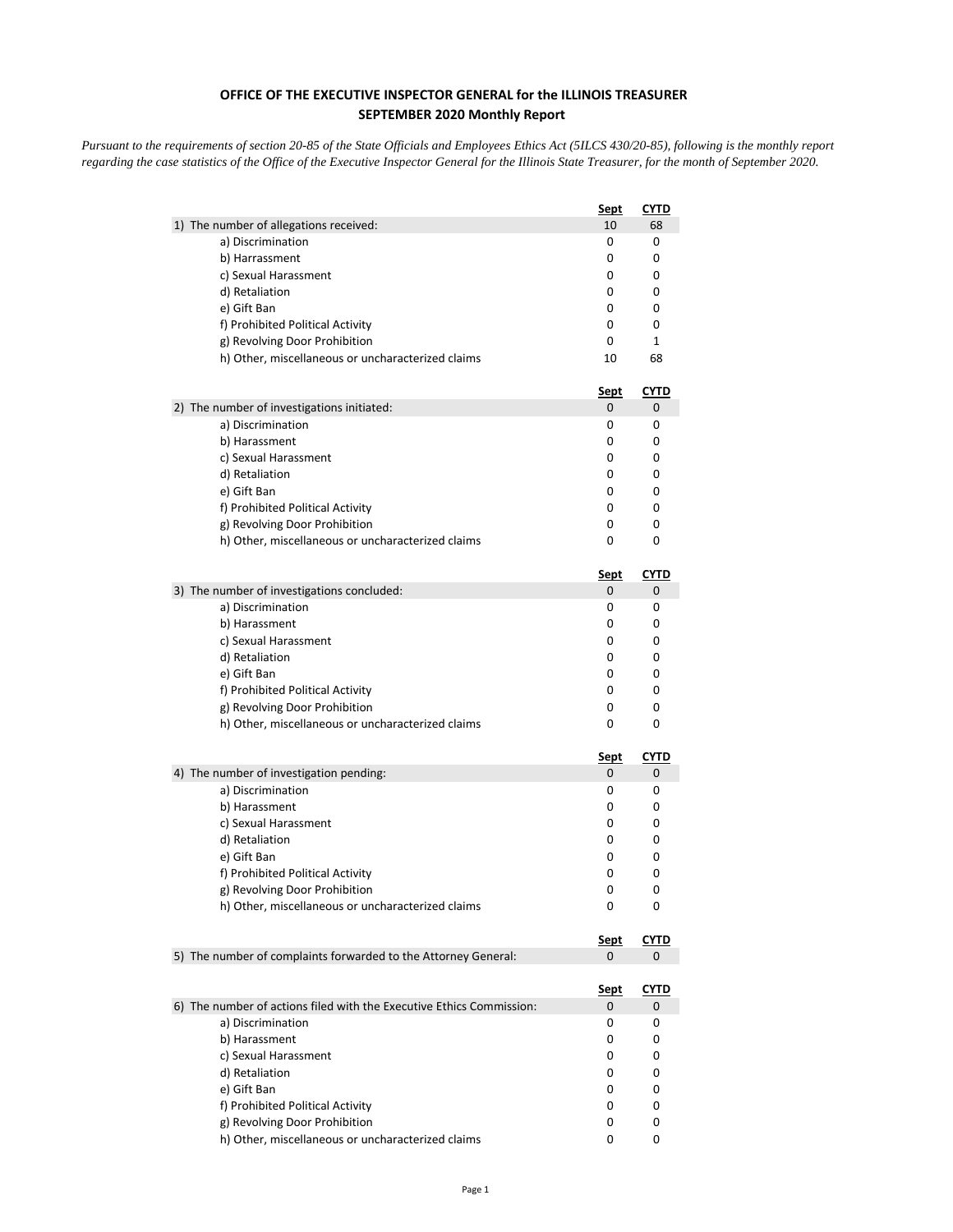## **OFFICE OF THE EXECUTIVE INSPECTOR GENERAL for the ILLINOIS TREASURER SEPTEMBER 2020 Monthly Report**

*Pursuant to the requirements of section 20-85 of the State Officials and Employees Ethics Act (5ILCS 430/20-85), following is the monthly report regarding the case statistics of the Office of the Executive Inspector General for the Illinois State Treasurer, for the month of September 2020.* 

|                                                                      | <u>Sept</u>      | <u>CYTD</u>      |
|----------------------------------------------------------------------|------------------|------------------|
| 1) The number of allegations received:                               | 10               | 68               |
| a) Discrimination                                                    | 0                | 0                |
| b) Harrassment                                                       | 0                | 0                |
| c) Sexual Harassment                                                 | 0                | 0                |
| d) Retaliation                                                       | 0                | 0                |
| e) Gift Ban                                                          | 0                | 0                |
| f) Prohibited Political Activity                                     | 0                | 0                |
| g) Revolving Door Prohibition                                        | 0                | 1                |
| h) Other, miscellaneous or uncharacterized claims                    | 10               | 68               |
|                                                                      | <u>Sept</u>      | CYTD             |
| 2) The number of investigations initiated:                           | 0                | 0                |
| a) Discrimination                                                    | 0                | 0                |
| b) Harassment                                                        | 0                | 0                |
| c) Sexual Harassment                                                 | 0                | 0                |
| d) Retaliation                                                       | 0                | 0                |
| e) Gift Ban                                                          | 0                | 0                |
| f) Prohibited Political Activity                                     | 0                | 0                |
| g) Revolving Door Prohibition                                        | 0                | 0                |
| h) Other, miscellaneous or uncharacterized claims                    | 0                | 0                |
|                                                                      | <u>Sept</u>      | CYTD             |
| 3) The number of investigations concluded:                           | 0                | 0                |
| a) Discrimination                                                    | 0                | 0                |
| b) Harassment                                                        | 0                | 0                |
| c) Sexual Harassment                                                 | 0                | 0                |
| d) Retaliation                                                       | 0                | 0                |
| e) Gift Ban                                                          | 0                | 0                |
| f) Prohibited Political Activity                                     | 0                | 0                |
| g) Revolving Door Prohibition                                        | 0                | 0                |
| h) Other, miscellaneous or uncharacterized claims                    | 0                | 0                |
|                                                                      | <u>Sept</u>      | <u>CYTD</u>      |
| 4) The number of investigation pending:                              | 0                | 0                |
| a) Discrimination                                                    | 0                | 0                |
| b) Harassment                                                        | 0                | 0                |
| c) Sexual Harassment                                                 | 0                | 0                |
| d) Retaliation                                                       | 0                | 0                |
| e) Gift Ban                                                          | 0                | 0                |
| f) Prohibited Political Activity                                     | 0                | 0                |
| g) Revolving Door Prohibition                                        | 0                | 0                |
| h) Other, miscellaneous or uncharacterized claims                    | 0                | 0                |
|                                                                      | <b>Sept</b>      | CYTD             |
| 5) The number of complaints forwarded to the Attorney General:       | 0                | 0                |
|                                                                      |                  |                  |
| 6) The number of actions filed with the Executive Ethics Commission: | <u>Sept</u><br>0 | <u>CYTD</u><br>0 |
| a) Discrimination                                                    | 0                | 0                |
| b) Harassment                                                        | 0                | 0                |
| c) Sexual Harassment                                                 | 0                | 0                |
| d) Retaliation                                                       | 0                | 0                |
| e) Gift Ban                                                          | 0                | 0                |
| f) Prohibited Political Activity                                     | 0                | 0                |
| g) Revolving Door Prohibition                                        | 0                | 0                |
| h) Other, miscellaneous or uncharacterized claims                    | 0                | 0                |
|                                                                      |                  |                  |